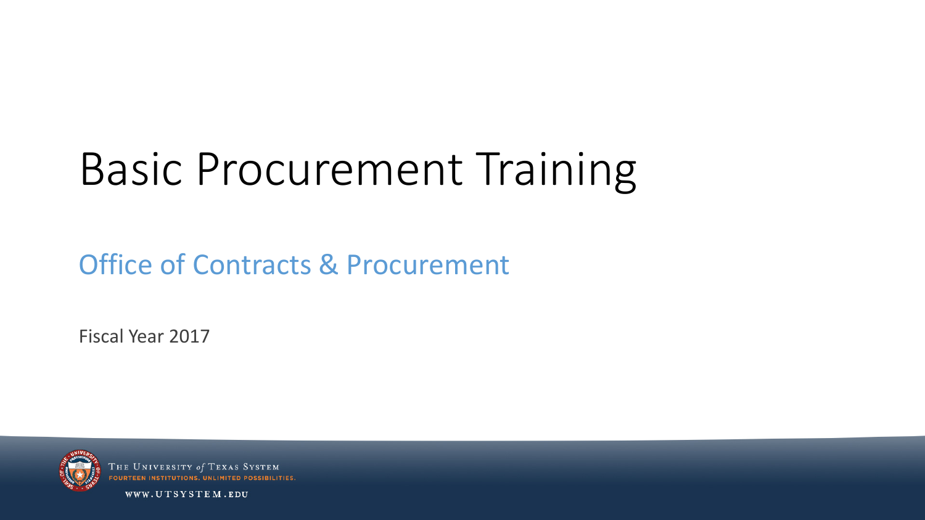# Basic Procurement Training

#### Office of Contracts & Procurement

Fiscal Year 2017



**THE UNIVERSITY 01** OURTEEN INSTITUTIONS II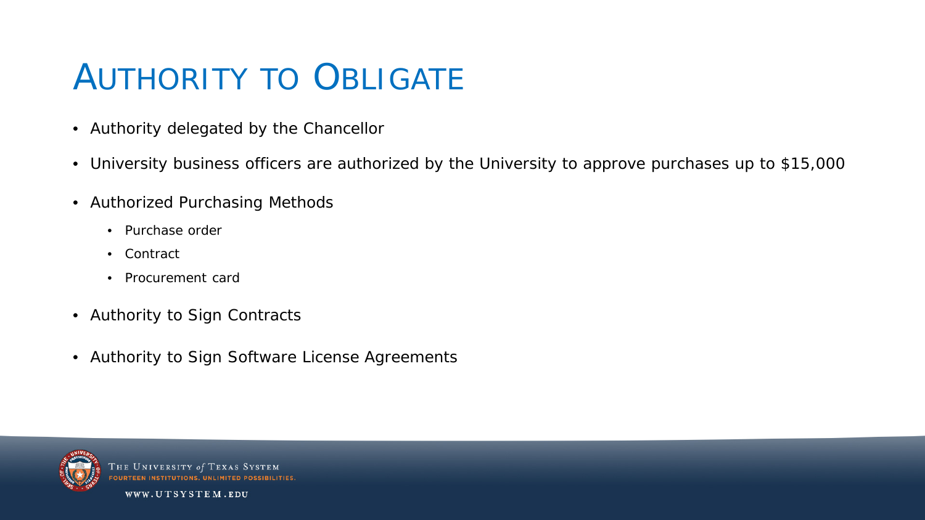# AUTHORITY TO OBLIGATE

- Authority delegated by the Chancellor
- University business officers are authorized by the University to approve purchases up to \$15,000
- Authorized Purchasing Methods
	- Purchase order
	- Contract
	- Procurement card
- Authority to Sign Contracts
- Authority to Sign Software License Agreements



**THE UNIVERSITY of TEXAS** OUDTEEN INSTITUTIONS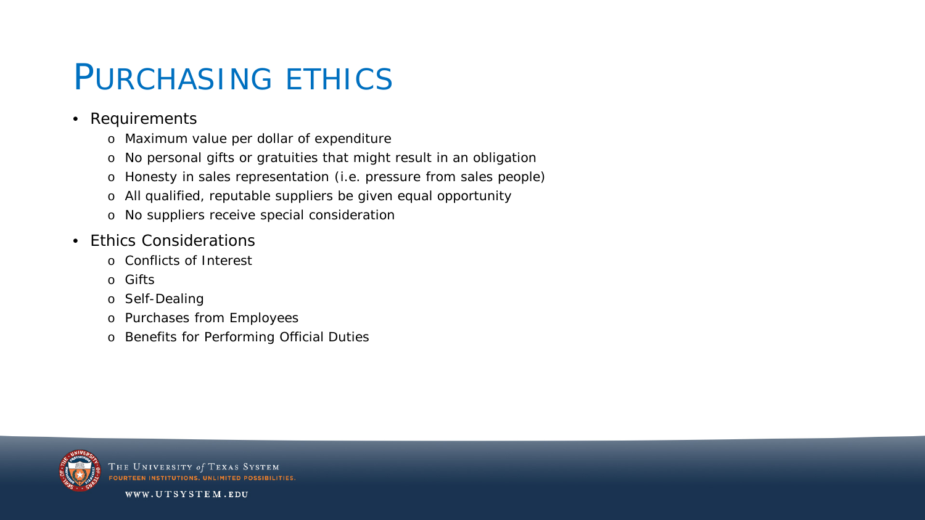#### PURCHASING ETHICS

- Requirements
	- o Maximum value per dollar of expenditure
	- o No personal gifts or gratuities that might result in an obligation
	- o Honesty in sales representation (i.e. pressure from sales people)
	- o All qualified, reputable suppliers be given equal opportunity
	- o No suppliers receive special consideration
- Ethics Considerations
	- o Conflicts of Interest
	- o Gifts
	- o Self-Dealing
	- o Purchases from Employees
	- o Benefits for Performing Official Duties



THE UNIVERSITY of TEXAS SYSTEM **FOURTEEN INSTITUTIONS, UNLIMITED POSSIBIL**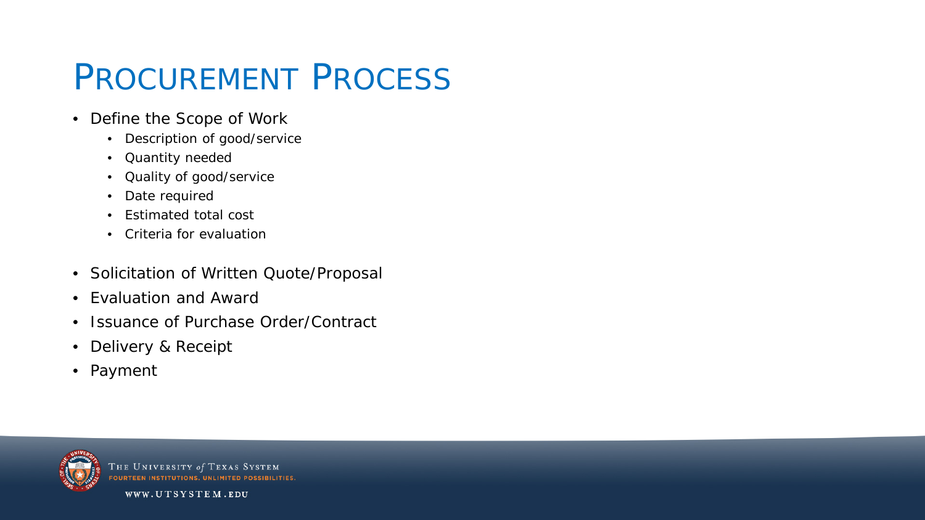## PROCUREMENT PROCESS

- Define the Scope of Work
	- Description of good/service
	- Quantity needed
	- Quality of good/service
	- Date required
	- Estimated total cost
	- Criteria for evaluation
- Solicitation of Written Quote/Proposal
- Evaluation and Award
- Issuance of Purchase Order/Contract
- Delivery & Receipt
- Payment



THE UNIVERSITY of TEXAS SYSTEM **FOURTEEN INSTITUTIONS, UNLIMITED POSSIBILITIES**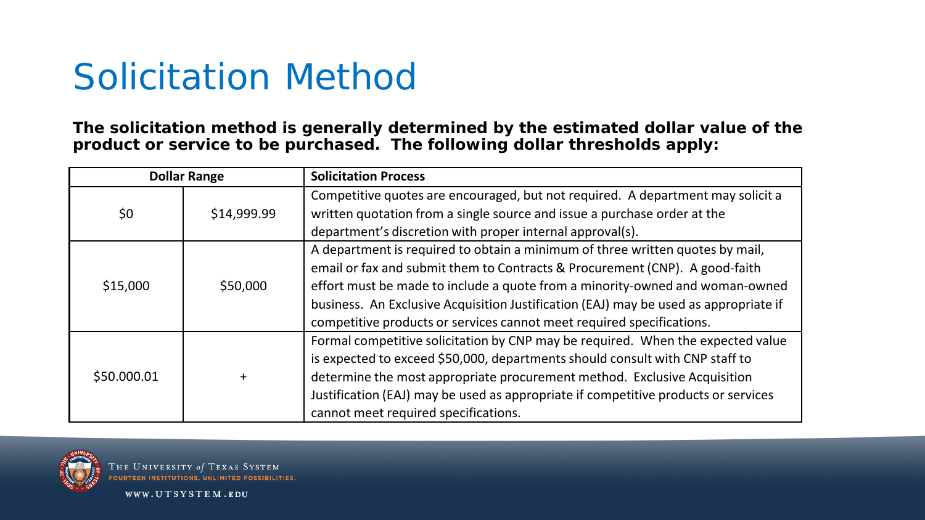### Solicitation Method

**The solicitation method is generally determined by the estimated dollar value of the product or service to be purchased. The following dollar thresholds apply:**

| <b>Dollar Range</b> |             | <b>Solicitation Process</b>                                                          |  |  |
|---------------------|-------------|--------------------------------------------------------------------------------------|--|--|
|                     |             | Competitive quotes are encouraged, but not required. A department may solicit a      |  |  |
| \$0                 | \$14,999.99 | written quotation from a single source and issue a purchase order at the             |  |  |
|                     |             | department's discretion with proper internal approval(s).                            |  |  |
|                     |             | A department is required to obtain a minimum of three written quotes by mail,        |  |  |
| \$15,000            | \$50,000    | email or fax and submit them to Contracts & Procurement (CNP). A good-faith          |  |  |
|                     |             | effort must be made to include a quote from a minority-owned and woman-owned         |  |  |
|                     |             | business. An Exclusive Acquisition Justification (EAJ) may be used as appropriate if |  |  |
|                     |             | competitive products or services cannot meet required specifications.                |  |  |
|                     |             | Formal competitive solicitation by CNP may be required. When the expected value      |  |  |
|                     |             | is expected to exceed \$50,000, departments should consult with CNP staff to         |  |  |
| \$50.000.01         | $\ddot{}$   | determine the most appropriate procurement method. Exclusive Acquisition             |  |  |
|                     |             | Justification (EAJ) may be used as appropriate if competitive products or services   |  |  |
|                     |             | cannot meet required specifications.                                                 |  |  |



THE UNIVERSITY of TEXAS SYSTEM **FOURTEEN INSTITUTIONS, UNLIMITED POSSIBILITIES**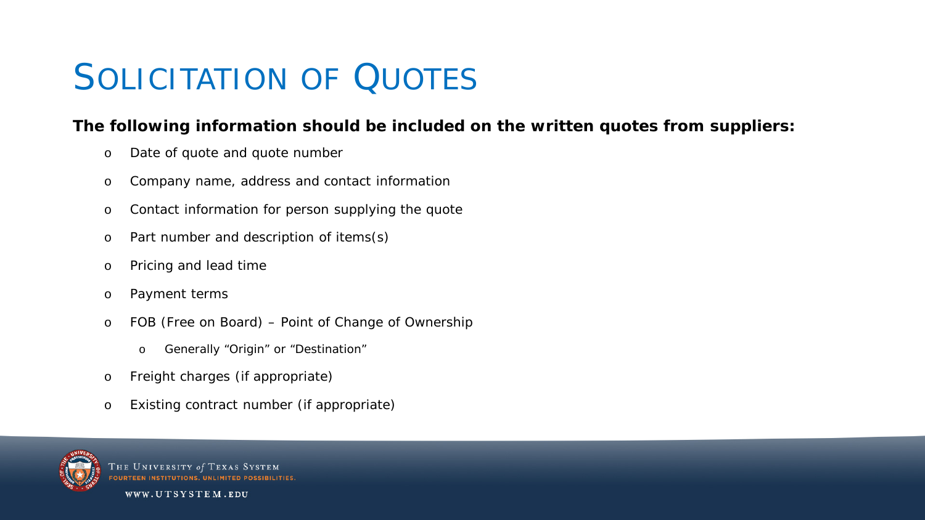# SOLICITATION OF **QUOTES**

#### **The following information should be included on the written quotes from suppliers:**

- o Date of quote and quote number
- o Company name, address and contact information
- o Contact information for person supplying the quote
- o Part number and description of items(s)
- o Pricing and lead time
- o Payment terms
- o FOB (Free on Board) Point of Change of Ownership
	- o Generally "Origin" or "Destination"
- o Freight charges (if appropriate)
- o Existing contract number (if appropriate)



THE UNIVERSITY of TEXAS SYSTEM **FOURTEEN INSTITUTIONS, UNLIMITED POSSIBIL**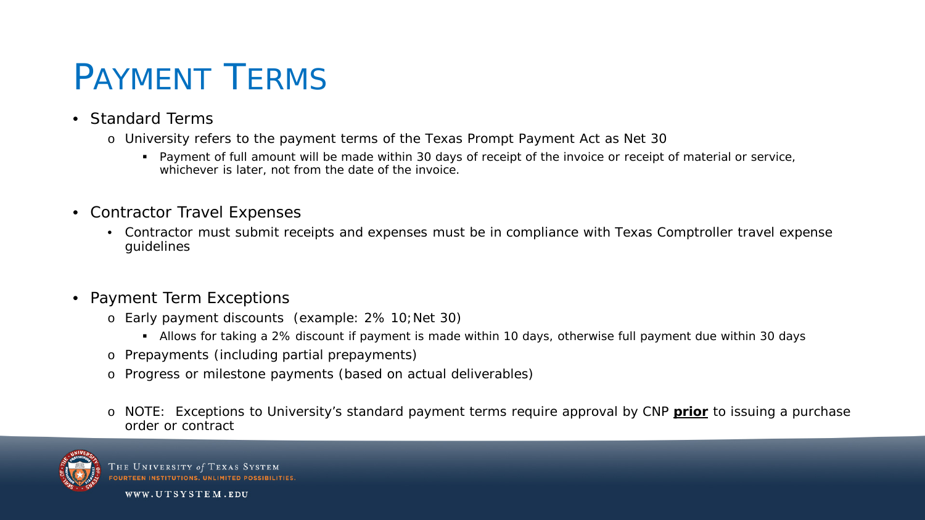### PAYMENT TERMS

- Standard Terms
	- o University refers to the payment terms of the Texas Prompt Payment Act as Net 30
		- Payment of full amount will be made within 30 days of receipt of the invoice or receipt of material or service, whichever is later, not from the date of the invoice.
- Contractor Travel Expenses
	- Contractor must submit receipts and expenses must be in compliance with Texas Comptroller travel expense guidelines
- Payment Term Exceptions
	- o Early payment discounts (example: 2% 10;Net 30)
		- Allows for taking a 2% discount if payment is made within 10 days, otherwise full payment due within 30 days
	- o Prepayments (including partial prepayments)
	- o Progress or milestone payments (based on actual deliverables)
	- o NOTE: Exceptions to University's standard payment terms require approval by CNP **prior** to issuing a purchase order or contract



THE UNIVERSITY of TEXAS SYSTEM **FOURTEEN INSTITUTIONS, UNLIMITED POS**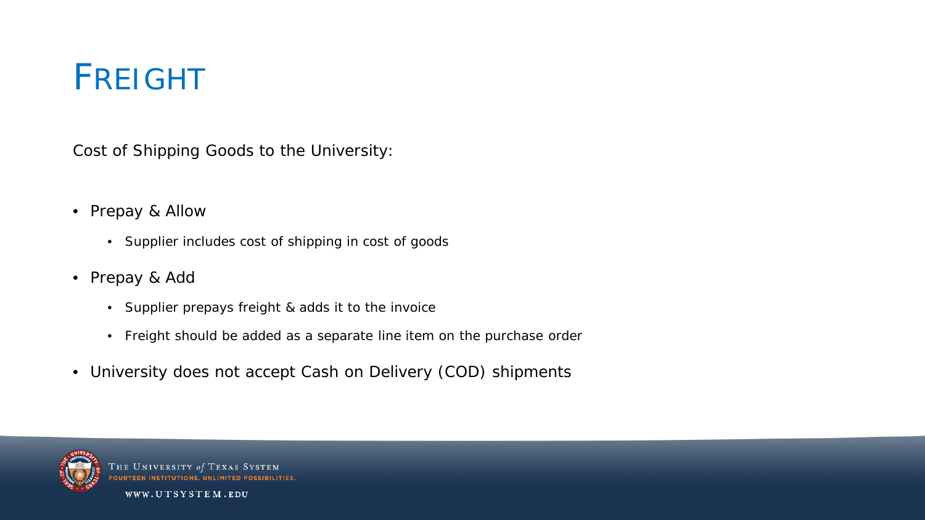### FREIGHT

Cost of Shipping Goods to the University:

- Prepay & Allow
	- Supplier includes cost of shipping in cost of goods
- Prepay & Add
	- Supplier prepays freight & adds it to the invoice
	- Freight should be added as a separate line item on the purchase order
- University does not accept Cash on Delivery (COD) shipments



THE UNIVERSITY of TEXAS **FOURTEEN INSTITUTIONS, U**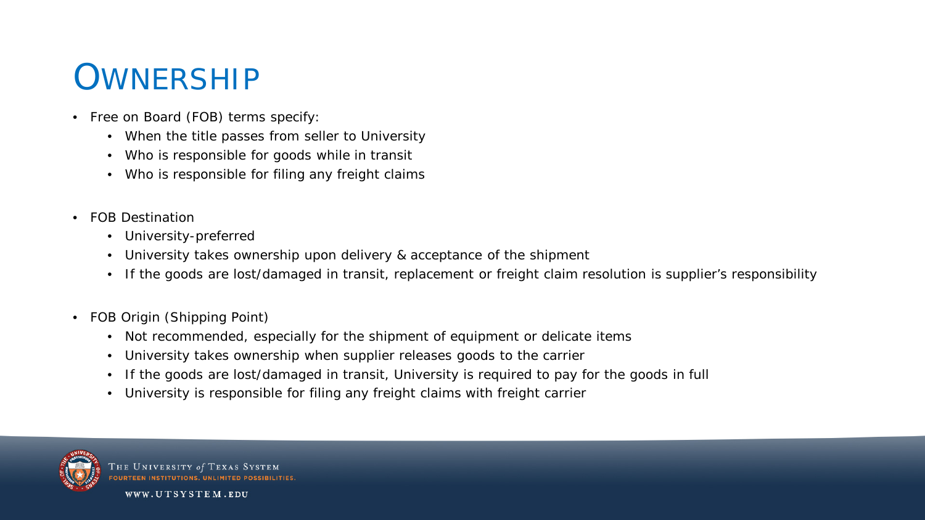#### **OWNERSHIP**

- Free on Board (FOB) terms specify:
	- When the title passes from seller to University
	- Who is responsible for goods while in transit
	- Who is responsible for filing any freight claims
- FOB Destination
	- University-preferred
	- University takes ownership upon delivery & acceptance of the shipment
	- If the goods are lost/damaged in transit, replacement or freight claim resolution is supplier's responsibility
- FOB Origin (Shipping Point)
	- Not recommended, especially for the shipment of equipment or delicate items
	- University takes ownership when supplier releases goods to the carrier
	- If the goods are lost/damaged in transit, University is required to pay for the goods in full
	- University is responsible for filing any freight claims with freight carrier



**THE UNIVERSITY of TEXAS** OURTEEN INSTITUTIONS UNI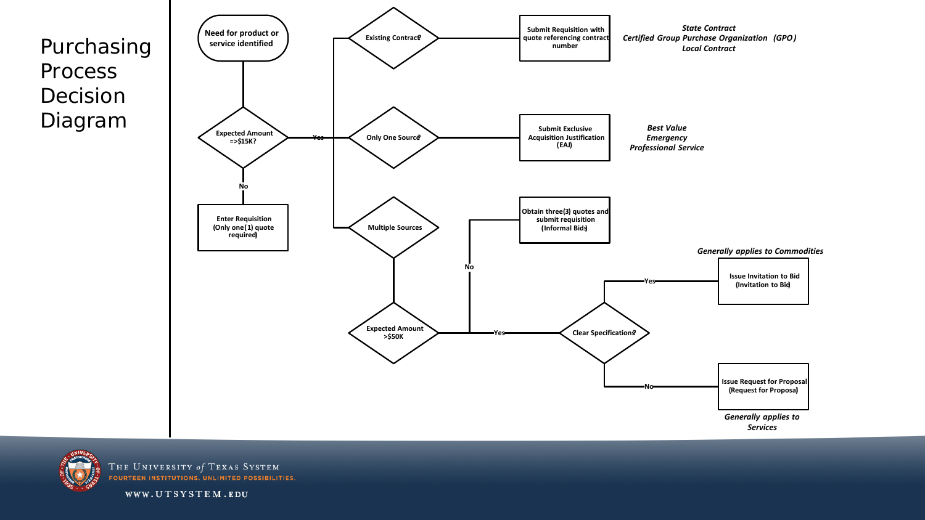Purchasing Process Decision Diagram





THE UNIVERSITY of TEXAS SYSTEM **FOURTEEN INSTITUTIONS. UNLIMITED POSSIBILITIES.**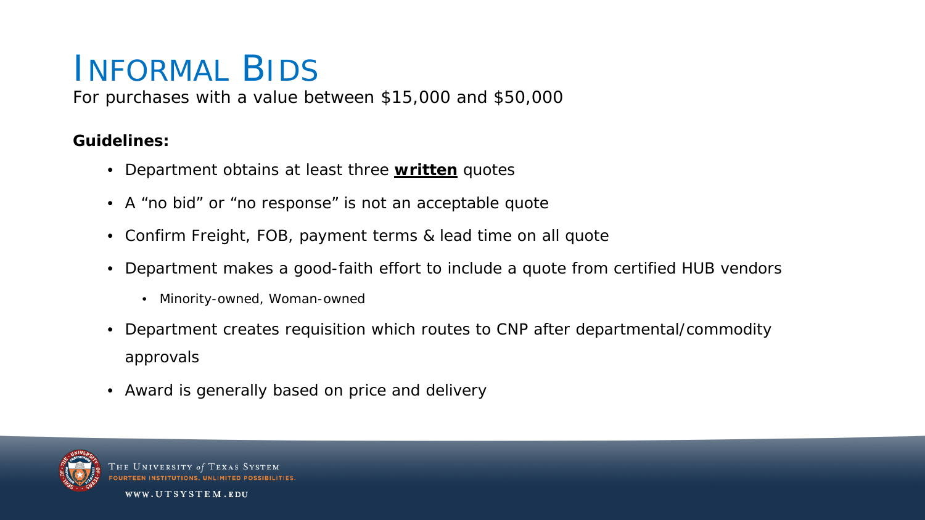#### INFORMAL BIDS

For purchases with a value between \$15,000 and \$50,000

#### **Guidelines:**

- Department obtains at least three **written** quotes
- A "no bid" or "no response" is not an acceptable quote
- Confirm Freight, FOB, payment terms & lead time on all quote
- Department makes a good-faith effort to include a quote from certified HUB vendors
	- Minority-owned, Woman-owned
- Department creates requisition which routes to CNP after departmental/commodity approvals
- Award is generally based on price and delivery



THE UNIVERSITY of TEXAS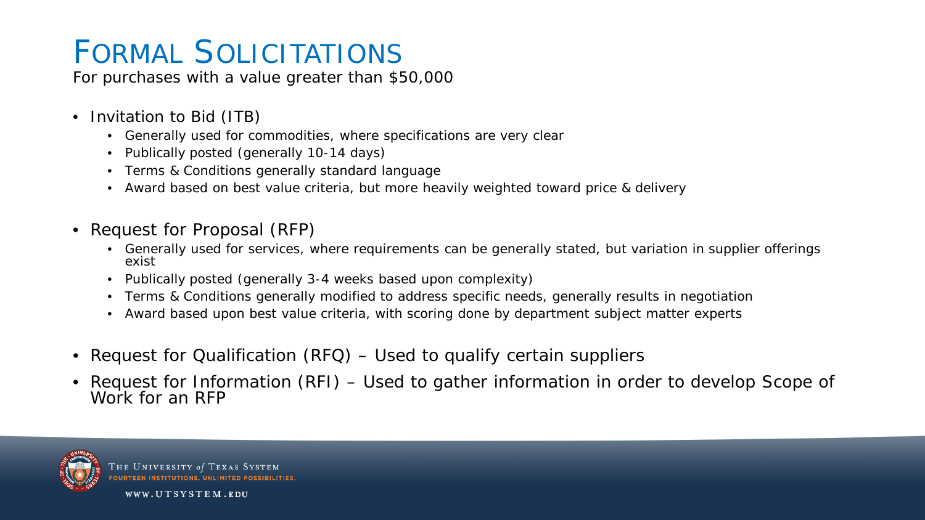#### FORMAL SOLICITATIONS

For purchases with a value greater than \$50,000

- Invitation to Bid (ITB)
	- Generally used for commodities, where specifications are very clear
	- Publically posted (generally 10-14 days)
	- Terms & Conditions generally standard language
	- Award based on best value criteria, but more heavily weighted toward price & delivery
- Request for Proposal (RFP)
	- Generally used for services, where requirements can be generally stated, but variation in supplier offerings exist
	- Publically posted (generally 3-4 weeks based upon complexity)
	- Terms & Conditions generally modified to address specific needs, generally results in negotiation
	- Award based upon best value criteria, with scoring done by department subject matter experts
- Request for Qualification (RFQ) Used to qualify certain suppliers
- Request for Information (RFI) Used to gather information in order to develop Scope of Work for an RFP

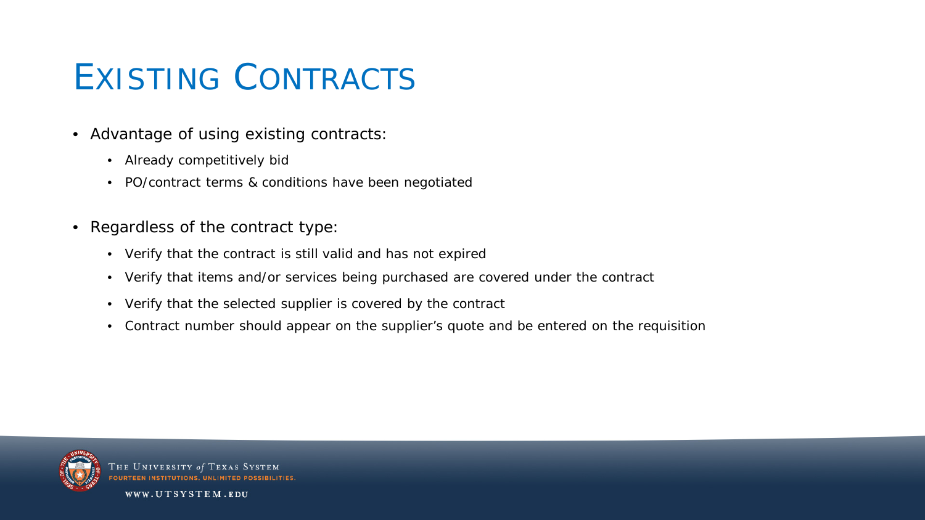## EXISTING CONTRACTS

- Advantage of using existing contracts:
	- Already competitively bid
	- PO/contract terms & conditions have been negotiated
- Regardless of the contract type:
	- Verify that the contract is still valid and has not expired
	- Verify that items and/or services being purchased are covered under the contract
	- Verify that the selected supplier is covered by the contract
	- Contract number should appear on the supplier's quote and be entered on the requisition



HE UNIVERSITY of TEXAS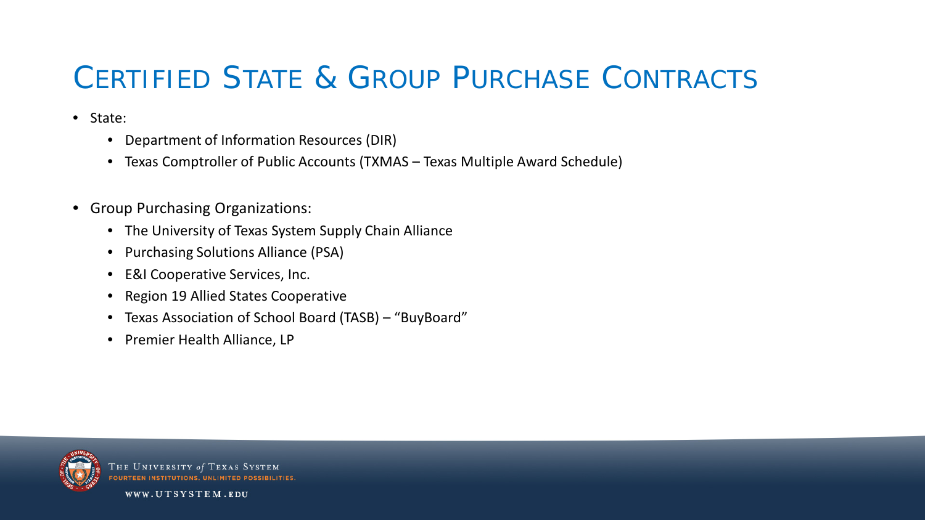#### CERTIFIED STATE & GROUP PURCHASE CONTRACTS

- State:
	- Department of Information Resources (DIR)
	- Texas Comptroller of Public Accounts (TXMAS Texas Multiple Award Schedule)
- Group Purchasing Organizations:
	- The University of Texas System Supply Chain Alliance
	- Purchasing Solutions Alliance (PSA)
	- E&I Cooperative Services, Inc.
	- Region 19 Allied States Cooperative
	- Texas Association of School Board (TASB) "BuyBoard"
	- Premier Health Alliance, LP



**THE UNIVERSITY of**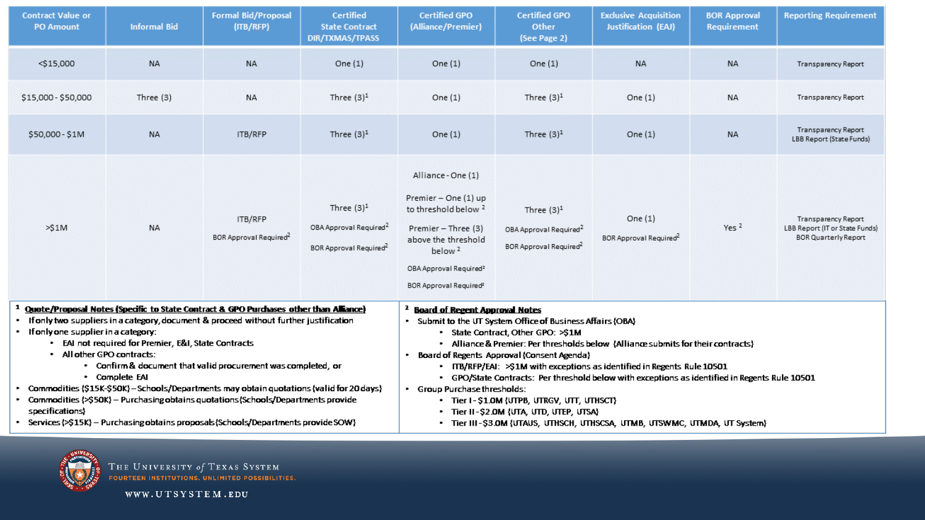| <b>Contract Value or</b><br><b>PO Amount</b>                                                                                                                                                                                                                                                                                                                                                                                                                                                                                                                                                                                                                                                             | <b>Informal Bid</b> | <b>Formal Bid/Proposal</b><br>(ITB/RFP)       | <b>Certified</b><br><b>State Contract</b><br><b>DIR/TXMAS/TPASS</b>                                                                                                                                                                                                                                                                                                                                                                                                                                                                                                                                                                                                       | <b>Certified GPO</b><br>(Alliance/Premier)                                                                                                                                                                                          | <b>Certified GPO</b><br>Other<br>(See Page 2)                                             | <b>Exclusive Acquisition</b><br><b>Justification (EAJ)</b> | <b>BOR Approval</b><br><b>Requirement</b> | <b>Reporting Requirement</b>                                                         |
|----------------------------------------------------------------------------------------------------------------------------------------------------------------------------------------------------------------------------------------------------------------------------------------------------------------------------------------------------------------------------------------------------------------------------------------------------------------------------------------------------------------------------------------------------------------------------------------------------------------------------------------------------------------------------------------------------------|---------------------|-----------------------------------------------|---------------------------------------------------------------------------------------------------------------------------------------------------------------------------------------------------------------------------------------------------------------------------------------------------------------------------------------------------------------------------------------------------------------------------------------------------------------------------------------------------------------------------------------------------------------------------------------------------------------------------------------------------------------------------|-------------------------------------------------------------------------------------------------------------------------------------------------------------------------------------------------------------------------------------|-------------------------------------------------------------------------------------------|------------------------------------------------------------|-------------------------------------------|--------------------------------------------------------------------------------------|
| $<$ \$15,000                                                                                                                                                                                                                                                                                                                                                                                                                                                                                                                                                                                                                                                                                             | <b>NA</b>           | <b>NA</b>                                     | One $(1)$                                                                                                                                                                                                                                                                                                                                                                                                                                                                                                                                                                                                                                                                 | One $(1)$                                                                                                                                                                                                                           | One $(1)$                                                                                 | <b>NA</b>                                                  | <b>NA</b>                                 | Transparency Report                                                                  |
| \$15,000 - \$50,000                                                                                                                                                                                                                                                                                                                                                                                                                                                                                                                                                                                                                                                                                      | Three (3)           | <b>NA</b>                                     | Three $(3)^1$                                                                                                                                                                                                                                                                                                                                                                                                                                                                                                                                                                                                                                                             | One $(1)$                                                                                                                                                                                                                           | Three $(3)^1$                                                                             | One $(1)$                                                  | <b>NA</b>                                 | Transparency Report                                                                  |
| \$50,000 - \$1M                                                                                                                                                                                                                                                                                                                                                                                                                                                                                                                                                                                                                                                                                          | <b>NA</b>           | ITB/RFP                                       | Three $(3)^1$                                                                                                                                                                                                                                                                                                                                                                                                                                                                                                                                                                                                                                                             | One $(1)$                                                                                                                                                                                                                           | Three $(3)^1$                                                                             | One $(1)$                                                  | <b>NA</b>                                 | Transparency Report<br>LBB Report (State Funds)                                      |
| >51M                                                                                                                                                                                                                                                                                                                                                                                                                                                                                                                                                                                                                                                                                                     | <b>NA</b>           | ITB/RFP<br>BOR Approval Required <sup>2</sup> | Three $(3)^1$<br>OBA Approval Required <sup>2</sup><br>BOR Approval Required <sup>2</sup>                                                                                                                                                                                                                                                                                                                                                                                                                                                                                                                                                                                 | Alliance - One (1)<br>Premier - One (1) up<br>to threshold below <sup>2</sup><br>Premier - Three (3)<br>above the threshold<br>below <sup>2</sup><br>OBA Approval Required <sup>2</sup><br><b>BOR Approval Required<sup>2</sup></b> | Three $(3)^1$<br>OBA Approval Required <sup>2</sup><br>BOR Approval Required <sup>2</sup> | One $(1)$<br>BOR Approval Required <sup>2</sup>            | Yes <sup>2</sup>                          | Transparency Report<br>LBB Report (IT or State Funds)<br><b>BOR Quarterly Report</b> |
| <sup>1</sup> Quote/Proposal Notes (Specific to State Contract & GPO Purchases other than Alliance)<br>If only two suppliers in a category, document & proceed without further justification<br>• If only one supplier in a category:<br>EAI not required for Premier, E&I, State Contracts<br>All other GPO contracts:<br>• Confirm & document that valid procurement was completed, or<br>• Complete EAI<br>• Commodities {\$15K-\$50K}-Schools/Departments may obtain quotations {valid for 20 days}<br>• Commodities (>\$50K) – Purchasing obtains quotations (Schools/Departments provide<br>specifications)<br>• Services {>\$15K} - Purchasing obtains proposals {Schools/Departments provide SOW} |                     |                                               | <sup>2</sup> Board of Regent Approval Notes<br>. Submit to the UT System Office of Business Affairs (OBA)<br>• State Contract, Other GPO: >\$1M<br>• Alliance & Premier: Per thresholds below {Alliance submits for their contracts}<br>Board of Regents Approval (Consent Agenda)<br>• ITB/RFP/EAI: >\$1M with exceptions as identified in Regents Rule 10501<br>• GPO/State Contracts: Per threshold below with exceptions as identified in Regents Rule 10501<br>· Group Purchase thresholds:<br>• Tier I - \$1.0M (UTPB, UTRGV, UTT, UTHSCT)<br>• Tier II-\$2.0M (UTA, UTD, UTEP, UTSA)<br>• Tier III-\$3.0M {UTAUS, UTHSCH, UTHSCSA, UTMB, UTSWMC, UTMDA, UT System} |                                                                                                                                                                                                                                     |                                                                                           |                                                            |                                           |                                                                                      |



THE UNIVERSITY of TEXAS SYSTEM<br>fourteen institutions, unlimited possibilities,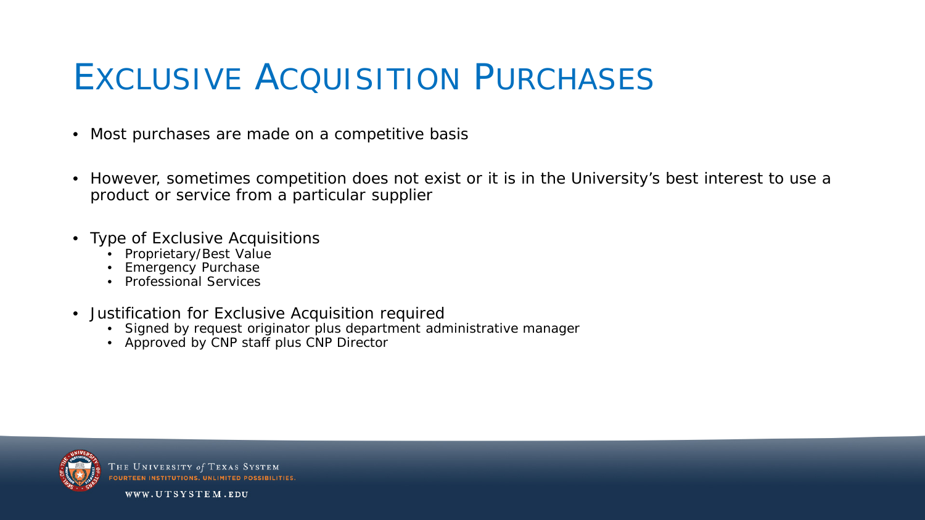#### EXCLUSIVE ACOUISITION PURCHASES

- Most purchases are made on a competitive basis
- However, sometimes competition does not exist or it is in the University's best interest to use a product or service from a particular supplier
- Type of Exclusive Acquisitions
	- Proprietary/Best Value
	- **Emergency Purchase**
	- Professional Services
- Justification for Exclusive Acquisition required
	- Signed by request originator plus department administrative manager
	- Approved by CNP staff plus CNP Director



THE UNIVERSITY of TEXAS SYSTEM OURTEEN INSTITUTIONS, UNLIMITED POSSIBILITIES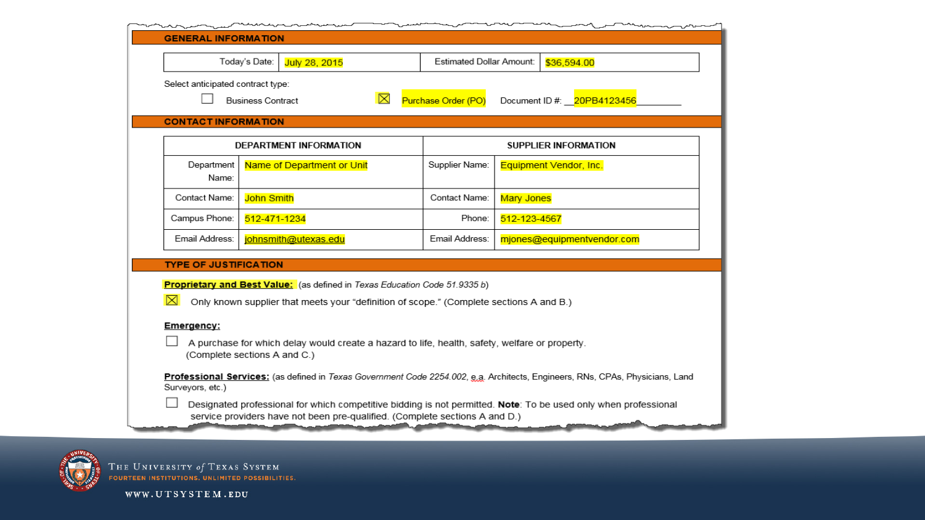|                                                                                                                                                   |                                                                                   | Estimated Dollar Amount:<br>Today's Date:<br>July 28, 2015<br>\$36,594.00 |                            |  |  |
|---------------------------------------------------------------------------------------------------------------------------------------------------|-----------------------------------------------------------------------------------|---------------------------------------------------------------------------|----------------------------|--|--|
| Select anticipated contract type:                                                                                                                 |                                                                                   |                                                                           |                            |  |  |
|                                                                                                                                                   | <b>Business Contract</b>                                                          | ⊠<br>Purchase Order (PO)                                                  | Document ID #: 20PB4123456 |  |  |
|                                                                                                                                                   |                                                                                   |                                                                           |                            |  |  |
| <b>CONTACT INFORMATION</b>                                                                                                                        |                                                                                   |                                                                           |                            |  |  |
|                                                                                                                                                   | DEPARTMENT INFORMATION                                                            |                                                                           | SUPPLIER INFORMATION       |  |  |
| Department                                                                                                                                        | Name of Department or Unit                                                        | Supplier Name:                                                            | Equipment Vendor, Inc.     |  |  |
| Name:                                                                                                                                             |                                                                                   |                                                                           |                            |  |  |
| Contact Name:                                                                                                                                     | <b>John Smith</b>                                                                 | Contact Name:                                                             | <b>Mary Jones</b>          |  |  |
| Campus Phone:                                                                                                                                     | 512-471-1234                                                                      |                                                                           | Phone:<br>512-123-4567     |  |  |
| Email Address:                                                                                                                                    | johnsmith@utexas.edu                                                              | Email Address:                                                            | mjones@equipmentvendor.com |  |  |
| <b>TYPE OF JUSTIFICATION</b>                                                                                                                      |                                                                                   |                                                                           |                            |  |  |
|                                                                                                                                                   | <b>Proprietary and Best Value:</b> (as defined in Texas Education Code 51.9335 b) |                                                                           |                            |  |  |
| $\boxtimes$<br>Only known supplier that meets your "definition of scope." (Complete sections A and B.)                                            |                                                                                   |                                                                           |                            |  |  |
| Emergency:                                                                                                                                        |                                                                                   |                                                                           |                            |  |  |
| A purchase for which delay would create a hazard to life, health, safety, welfare or property.                                                    |                                                                                   |                                                                           |                            |  |  |
| (Complete sections A and C.)                                                                                                                      |                                                                                   |                                                                           |                            |  |  |
| Professional Services: (as defined in Texas Government Code 2254.002, e.g. Architects, Engineers, RNs, CPAs, Physicians, Land<br>Surveyors, etc.) |                                                                                   |                                                                           |                            |  |  |
|                                                                                                                                                   |                                                                                   |                                                                           |                            |  |  |



THE UNIVERSITY of TEXAS SYSTEM<br>FOURTEEN INSTITUTIONS. UNLIMITED POSSIBILITIES.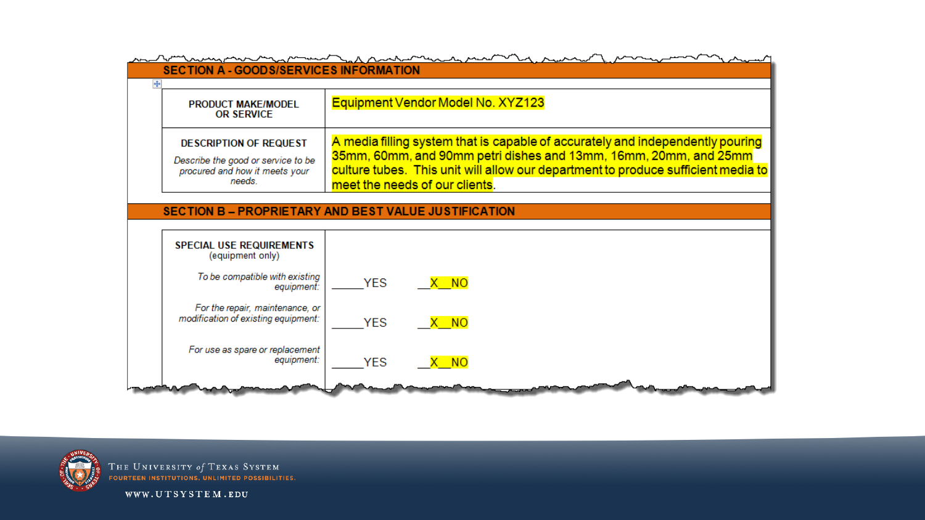



THE UNIVERSITY of TEXAS SYSTEM **FOURTEEN INSTITUTIONS. UNLIMITED POSSIBILITIES.**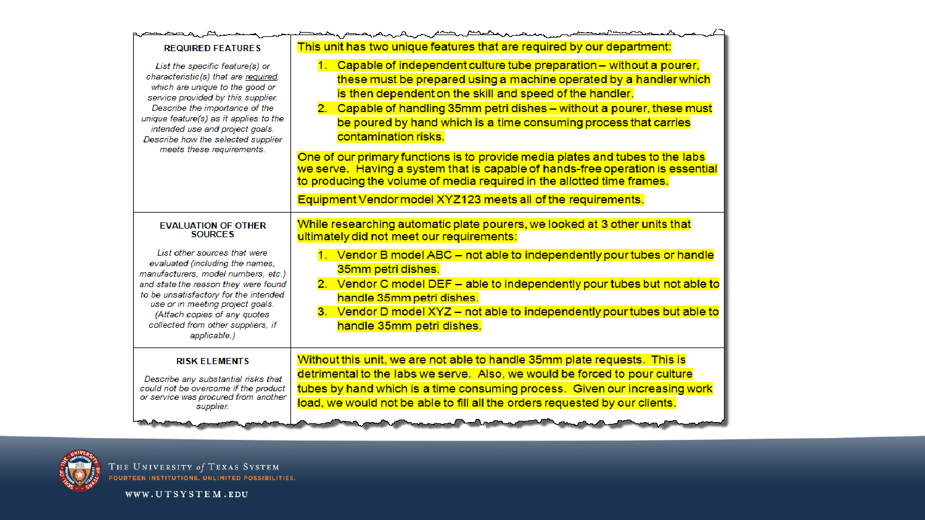| This unit has two unique features that are required by our department:<br><b>REQUIRED FEATURES</b><br>1. Capable of independent culture tube preparation - without a pourer,<br>List the specific feature(s) or<br>characteristic(s) that are required.<br>which are unique to the good or<br>is then dependent on the skill and speed of the handler.<br>service provided by this supplier.<br>Describe the importance of the<br>unique feature(s) as it applies to the<br>be poured by hand which is a time consuming process that carries<br>intended use and project goals.<br>contamination risks.<br>Describe how the selected supplier<br>meets these requirements.<br>to producing the volume of media required in the allotted time frames.<br>Equipment Vendor model XYZ123 meets all of the requirements.<br>While researching automatic plate pourers, we looked at 3 other units that<br><b>EVALUATION OF OTHER</b><br><b>SOURCES</b><br>ultimately did not meet our requirements:<br>List other sources that were<br>evaluated (including the names,<br>35mm petri dishes.<br>manufacturers, model numbers, etc.)<br>and state the reason they were found<br>to be unsatisfactory for the intended<br>handle 35mm petri dishes.<br>use or in meeting project goals.<br>(Attach copies of any quotes<br>collected from other suppliers, if<br>handle 35mm petri dishes.<br>applicable.)<br>Without this unit, we are not able to handle 35mm plate requests. This is<br><b>RISK ELEMENTS</b><br>detrimental to the labs we serve. Also, we would be forced to pour culture<br>Describe any substantial risks that<br>could not be overcome if the product |                                      | $\overbrace{ }$                                                                                                                                                                                                                                                                                                  |
|------------------------------------------------------------------------------------------------------------------------------------------------------------------------------------------------------------------------------------------------------------------------------------------------------------------------------------------------------------------------------------------------------------------------------------------------------------------------------------------------------------------------------------------------------------------------------------------------------------------------------------------------------------------------------------------------------------------------------------------------------------------------------------------------------------------------------------------------------------------------------------------------------------------------------------------------------------------------------------------------------------------------------------------------------------------------------------------------------------------------------------------------------------------------------------------------------------------------------------------------------------------------------------------------------------------------------------------------------------------------------------------------------------------------------------------------------------------------------------------------------------------------------------------------------------------------------------------------------------------------------------------------------------------------|--------------------------------------|------------------------------------------------------------------------------------------------------------------------------------------------------------------------------------------------------------------------------------------------------------------------------------------------------------------|
|                                                                                                                                                                                                                                                                                                                                                                                                                                                                                                                                                                                                                                                                                                                                                                                                                                                                                                                                                                                                                                                                                                                                                                                                                                                                                                                                                                                                                                                                                                                                                                                                                                                                        |                                      |                                                                                                                                                                                                                                                                                                                  |
|                                                                                                                                                                                                                                                                                                                                                                                                                                                                                                                                                                                                                                                                                                                                                                                                                                                                                                                                                                                                                                                                                                                                                                                                                                                                                                                                                                                                                                                                                                                                                                                                                                                                        |                                      | these must be prepared using a machine operated by a handler which<br>2. Capable of handling 35mm petri dishes - without a pourer, these must<br>One of our primary functions is to provide media plates and tubes to the labs<br>we serve. Having a system that is capable of hands-free operation is essential |
|                                                                                                                                                                                                                                                                                                                                                                                                                                                                                                                                                                                                                                                                                                                                                                                                                                                                                                                                                                                                                                                                                                                                                                                                                                                                                                                                                                                                                                                                                                                                                                                                                                                                        |                                      |                                                                                                                                                                                                                                                                                                                  |
|                                                                                                                                                                                                                                                                                                                                                                                                                                                                                                                                                                                                                                                                                                                                                                                                                                                                                                                                                                                                                                                                                                                                                                                                                                                                                                                                                                                                                                                                                                                                                                                                                                                                        |                                      | 1. Vendor B model ABC - not able to independently pour tubes or handle<br>2. Vendor C model DEF - able to independently pour tubes but not able to<br>3. Vendor D model XYZ - not able to independently pour tubes but able to                                                                                   |
| load, we would not be able to fill all the orders requested by our clients.<br>supplier.                                                                                                                                                                                                                                                                                                                                                                                                                                                                                                                                                                                                                                                                                                                                                                                                                                                                                                                                                                                                                                                                                                                                                                                                                                                                                                                                                                                                                                                                                                                                                                               | or service was procured from another | tubes by hand which is a time consuming process. Given our increasing work                                                                                                                                                                                                                                       |



THE UNIVERSITY of TEXAS SYSTEM<br>FOURTEEN INSTITUTIONS. UNLIMITED POSSIBILITIES.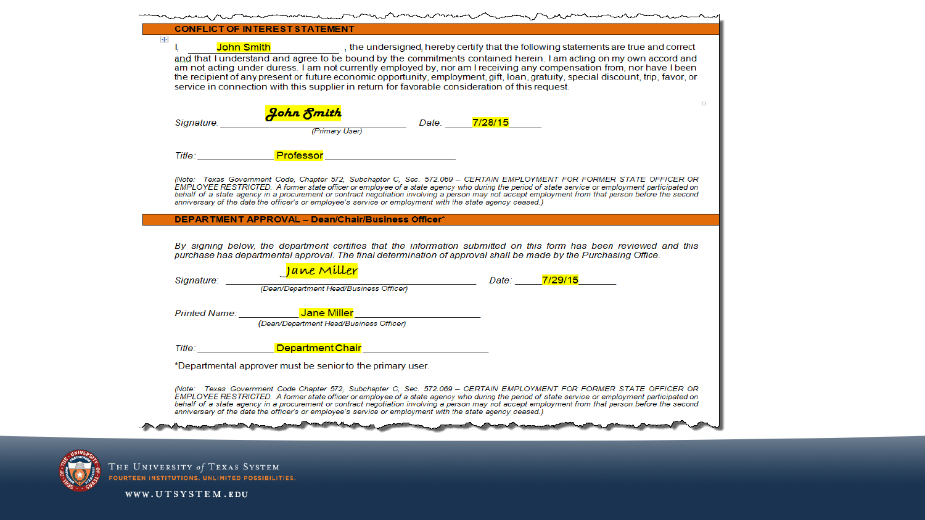| <b>CONFLICT OF INTEREST STATEMENT</b>                                                                                                                                                                                                                                                                                                                                                                                                                                                                                                                                                                         |        |
|---------------------------------------------------------------------------------------------------------------------------------------------------------------------------------------------------------------------------------------------------------------------------------------------------------------------------------------------------------------------------------------------------------------------------------------------------------------------------------------------------------------------------------------------------------------------------------------------------------------|--------|
| $+$<br>John Smith <b>Smith</b> , the undersigned, hereby certify that the following statements are true and correct<br>L<br>and that I understand and agree to be bound by the commitments contained herein. I am acting on my own accord and<br>am not acting under duress. I am not currently employed by, nor am I receiving any compensation from, nor have I been<br>the recipient of any present or future economic opportunity, employment, gift, loan, gratuity, special discount, trip, favor, or<br>service in connection with this supplier in return for favorable consideration of this request. |        |
| <mark>John Fmith</mark><br>Primary User) Date: ________7/28/15<br>Primary User)<br>Signature:                                                                                                                                                                                                                                                                                                                                                                                                                                                                                                                 | $\Box$ |
| Title: <b>Professor</b>                                                                                                                                                                                                                                                                                                                                                                                                                                                                                                                                                                                       |        |
| (Note: Texas Government Code, Chapter 572, Subchapter C, Sec. 572.069 - CERTAIN EMPLOYMENT FOR FORMER STATE OFFICER OR<br>EMPLOYEE RESTRICTED. A former state officer or employee of a state agency who during the period of state service or employment participated on<br>behalf of a state agency in a procurement or contract negotiation involving a person may not accept employment from that person before the second<br>anniversary of the date the officer's or employee's service or employment with the state agency ceased.)                                                                     |        |
| DEPARTMENT APPROVAL - Dean/Chair/Business Officer*                                                                                                                                                                                                                                                                                                                                                                                                                                                                                                                                                            |        |
| By signing below, the department certifies that the information submitted on this form has been reviewed and this<br>purchase has departmental approval. The final determination of approval shall be made by the Purchasing Office.                                                                                                                                                                                                                                                                                                                                                                          |        |
| $J$ a vve $J$ M $i$ ller<br>(Dean/Department Head/Business Officer)<br>Signature:                                                                                                                                                                                                                                                                                                                                                                                                                                                                                                                             |        |
| Printed Name: <b>Department of Service State Miller Contract Contract Contract Contract Contract Contract Contract Contract Contract Contract Contract Contract Contract Contract Contract Contract Contract Contract Contract</b><br>(Dean/Department Head/Business Officer)                                                                                                                                                                                                                                                                                                                                 |        |
| Title: <b>Community Community Department Chair Chair Community Community Community Community</b> Community Community                                                                                                                                                                                                                                                                                                                                                                                                                                                                                          |        |
| *Departmental approver must be senior to the primary user.                                                                                                                                                                                                                                                                                                                                                                                                                                                                                                                                                    |        |
| (Note: Texas Government Code Chapter 572, Subchapter C, Sec. 572.069 – CERTAIN EMPLOYMENT FOR FORMER STATE OFFICER OR<br>EMPLOYEE RESTRICTED. A former state officer or employee of a state agency who during the period of state service or employment participated on<br>behalf of a state agency in a procurement or contract negotiation involving a person may not accept employment from that person before the second<br>anniversary of the date the officer's or employee's service or employment with the state agency ceased.)                                                                      |        |
|                                                                                                                                                                                                                                                                                                                                                                                                                                                                                                                                                                                                               |        |



THE UNIVERSITY of TEXAS SYSTEM<br>Fourteen institutions, unlimited possibilities,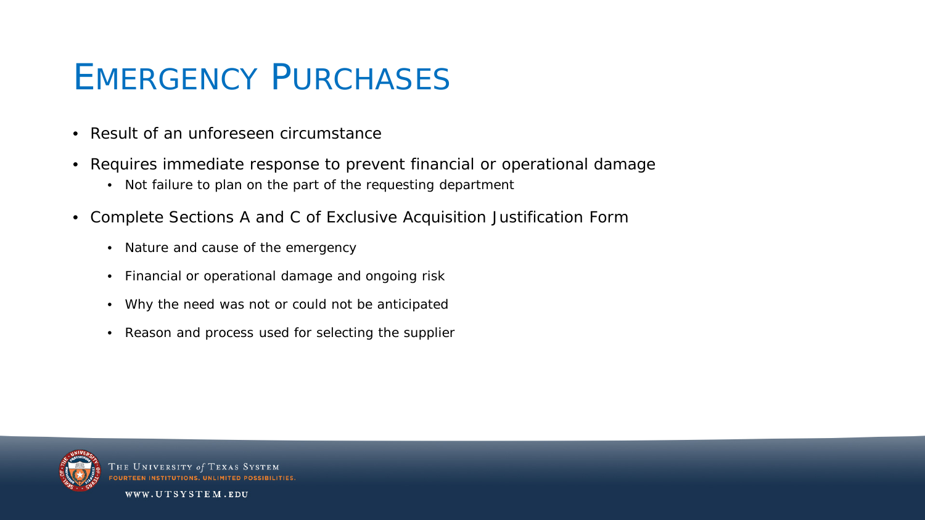#### EMERGENCY PURCHASES

- Result of an unforeseen circumstance
- Requires immediate response to prevent financial or operational damage
	- Not failure to plan on the part of the requesting department
- Complete Sections A and C of Exclusive Acquisition Justification Form
	- Nature and cause of the emergency
	- Financial or operational damage and ongoing risk
	- Why the need was not or could not be anticipated
	- Reason and process used for selecting the supplier



HE UNIVERSITY of TEXAS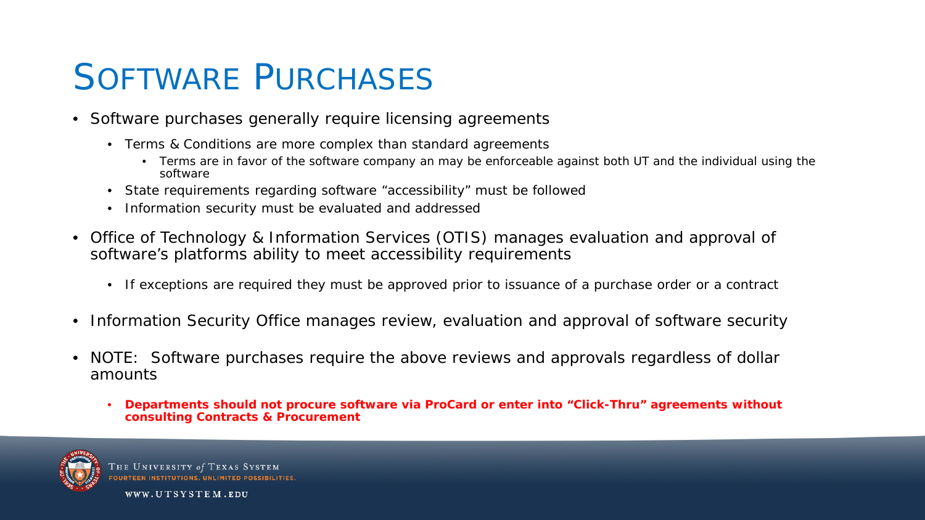#### SOFTWARE PURCHASES

- Software purchases generally require licensing agreements
	- Terms & Conditions are more complex than standard agreements
		- Terms are in favor of the software company an may be enforceable against both UT and the individual using the software
	- State requirements regarding software "accessibility" must be followed
	- Information security must be evaluated and addressed
- Office of Technology & Information Services (OTIS) manages evaluation and approval of software's platforms ability to meet accessibility requirements
	- If exceptions are required they must be approved prior to issuance of a purchase order or a contract
- Information Security Office manages review, evaluation and approval of software security
- NOTE: Software purchases require the above reviews and approvals regardless of dollar amounts
	- **Departments should not procure software via ProCard or enter into "Click-Thru" agreements without consulting Contracts & Procurement**



THE UNIVERSITY of TEXAS SYSTEM OURTEEN INSTITUTIONS, UNLIMITED POSSIB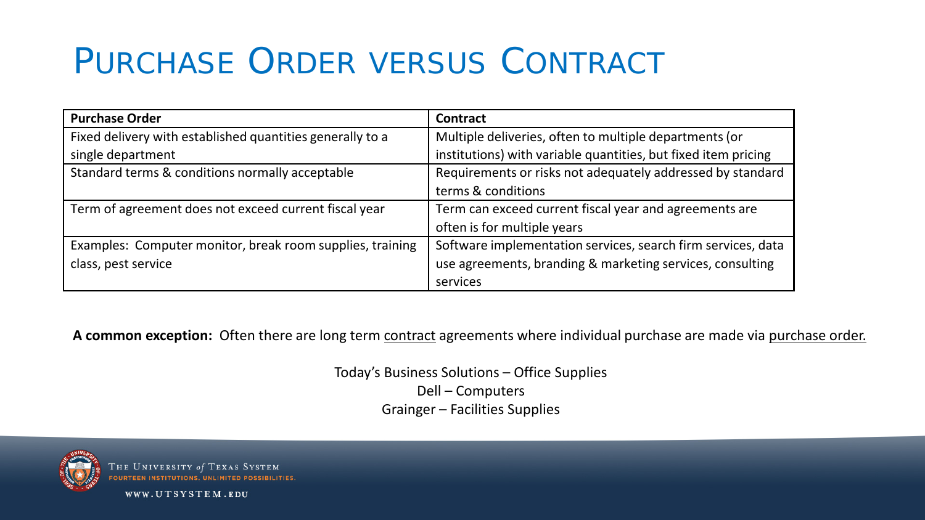## PURCHASE ORDER VERSUS CONTRACT

| <b>Purchase Order</b>                                     | Contract                                                       |  |  |
|-----------------------------------------------------------|----------------------------------------------------------------|--|--|
| Fixed delivery with established quantities generally to a | Multiple deliveries, often to multiple departments (or         |  |  |
| single department                                         | institutions) with variable quantities, but fixed item pricing |  |  |
| Standard terms & conditions normally acceptable           | Requirements or risks not adequately addressed by standard     |  |  |
|                                                           | terms & conditions                                             |  |  |
| Term of agreement does not exceed current fiscal year     | Term can exceed current fiscal year and agreements are         |  |  |
|                                                           | often is for multiple years                                    |  |  |
| Examples: Computer monitor, break room supplies, training | Software implementation services, search firm services, data   |  |  |
| class, pest service                                       | use agreements, branding & marketing services, consulting      |  |  |
|                                                           | services                                                       |  |  |

**A common exception:** Often there are long term contract agreements where individual purchase are made via purchase order.

Today's Business Solutions – Office Supplies Dell – Computers Grainger – Facilities Supplies



THE UNIVERSITY of TEXAS SYSTEM **FOURTEEN INSTITUTIONS, UNLIMITED POSSIBILITIES**